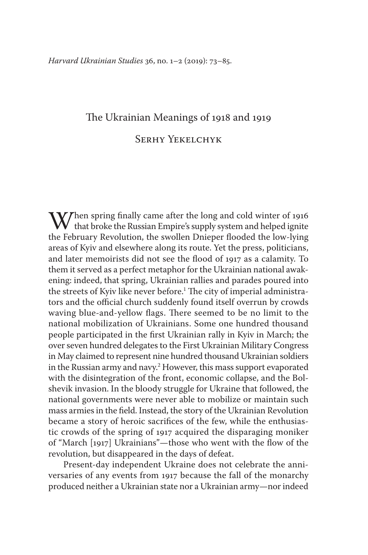# The Ukrainian Meanings of 1918 and 1919 Serhy Yekelchyk

When spring finally came after the long and cold winter of 1916<br>that broke the Russian Empire's supply system and helped ignite<br>the February Revolution, the swollen Dniener flooded the low-lying the February Revolution, the swollen Dnieper flooded the low-lying areas of Kyiv and elsewhere along its route. Yet the press, politicians, and later memoirists did not see the flood of 1917 as a calamity. To them it served as a perfect metaphor for the Ukrainian national awakening: indeed, that spring, Ukrainian rallies and parades poured into the streets of Kyiv like never before.<sup>1</sup> The city of imperial administrators and the official church suddenly found itself overrun by crowds waving blue-and-yellow flags. There seemed to be no limit to the national mobilization of Ukrainians. Some one hundred thousand people participated in the first Ukrainian rally in Kyiv in March; the over seven hundred delegates to the First Ukrainian Military Congress in May claimed to represent nine hundred thousand Ukrainian soldiers in the Russian army and navy.2 However, this mass support evaporated with the disintegration of the front, economic collapse, and the Bolshevik invasion. In the bloody struggle for Ukraine that followed, the national governments were never able to mobilize or maintain such mass armies in the field. Instead, the story of the Ukrainian Revolution became a story of heroic sacrifices of the few, while the enthusiastic crowds of the spring of 1917 acquired the disparaging moniker of "March [1917] Ukrainians"—those who went with the flow of the revolution, but disappeared in the days of defeat.

Present-day independent Ukraine does not celebrate the anniversaries of any events from 1917 because the fall of the monarchy produced neither a Ukrainian state nor a Ukrainian army—nor indeed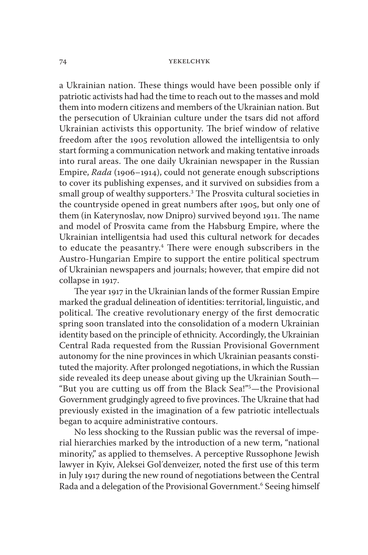a Ukrainian nation. These things would have been possible only if patriotic activists had had the time to reach out to the masses and mold them into modern citizens and members of the Ukrainian nation. But the persecution of Ukrainian culture under the tsars did not afford Ukrainian activists this opportunity. The brief window of relative freedom after the 1905 revolution allowed the intelligentsia to only start forming a communication network and making tentative inroads into rural areas. The one daily Ukrainian newspaper in the Russian Empire, *Rada* (1906–1914), could not generate enough subscriptions to cover its publishing expenses, and it survived on subsidies from a small group of wealthy supporters.3 The Prosvita cultural societies in the countryside opened in great numbers after 1905, but only one of them (in Katerynoslav, now Dnipro) survived beyond 1911. The name and model of Prosvita came from the Habsburg Empire, where the Ukrainian intelligentsia had used this cultural network for decades to educate the peasantry.<sup>4</sup> There were enough subscribers in the Austro-Hungarian Empire to support the entire political spectrum of Ukrainian newspapers and journals; however, that empire did not collapse in 1917.

The year 1917 in the Ukrainian lands of the former Russian Empire marked the gradual delineation of identities: territorial, linguistic, and political. The creative revolutionary energy of the first democratic spring soon translated into the consolidation of a modern Ukrainian identity based on the principle of ethnicity. Accordingly, the Ukrainian Central Rada requested from the Russian Provisional Government autonomy for the nine provinces in which Ukrainian peasants constituted the majority. After prolonged negotiations, in which the Russian side revealed its deep unease about giving up the Ukrainian South— "But you are cutting us off from the Black Sea!"5 —the Provisional Government grudgingly agreed to five provinces. The Ukraine that had previously existed in the imagination of a few patriotic intellectuals began to acquire administrative contours.

No less shocking to the Russian public was the reversal of imperial hierarchies marked by the introduction of a new term, "national minority," as applied to themselves. A perceptive Russophone Jewish lawyer in Kyiv, Aleksei Gol´denveizer, noted the first use of this term in July 1917 during the new round of negotiations between the Central Rada and a delegation of the Provisional Government.<sup>6</sup> Seeing himself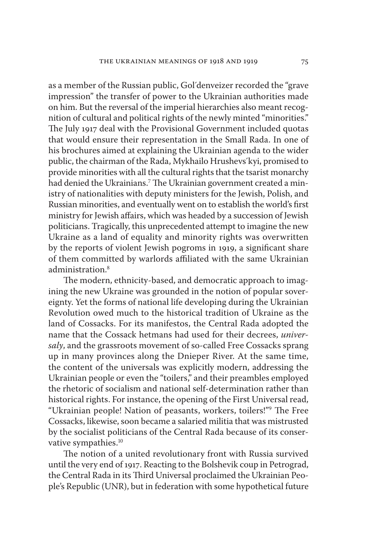as a member of the Russian public, Gol´denveizer recorded the "grave impression" the transfer of power to the Ukrainian authorities made on him. But the reversal of the imperial hierarchies also meant recognition of cultural and political rights of the newly minted "minorities." The July 1917 deal with the Provisional Government included quotas that would ensure their representation in the Small Rada. In one of his brochures aimed at explaining the Ukrainian agenda to the wider public, the chairman of the Rada, Mykhailo Hrushevs´kyi, promised to provide minorities with all the cultural rights that the tsarist monarchy had denied the Ukrainians.7 The Ukrainian government created a ministry of nationalities with deputy ministers for the Jewish, Polish, and Russian minorities, and eventually went on to establish the world's first ministry for Jewish affairs, which was headed by a succession of Jewish politicians. Tragically, this unprecedented attempt to imagine the new Ukraine as a land of equality and minority rights was overwritten by the reports of violent Jewish pogroms in 1919, a significant share of them committed by warlords affiliated with the same Ukrainian administration.8

The modern, ethnicity-based, and democratic approach to imagining the new Ukraine was grounded in the notion of popular sovereignty. Yet the forms of national life developing during the Ukrainian Revolution owed much to the historical tradition of Ukraine as the land of Cossacks. For its manifestos, the Central Rada adopted the name that the Cossack hetmans had used for their decrees, *universaly*, and the grassroots movement of so-called Free Cossacks sprang up in many provinces along the Dnieper River. At the same time, the content of the universals was explicitly modern, addressing the Ukrainian people or even the "toilers," and their preambles employed the rhetoric of socialism and national self-determination rather than historical rights. For instance, the opening of the First Universal read, "Ukrainian people! Nation of peasants, workers, toilers!"9 The Free Cossacks, likewise, soon became a salaried militia that was mistrusted by the socialist politicians of the Central Rada because of its conservative sympathies.<sup>10</sup>

The notion of a united revolutionary front with Russia survived until the very end of 1917. Reacting to the Bolshevik coup in Petrograd, the Central Rada in its Third Universal proclaimed the Ukrainian People's Republic (UNR), but in federation with some hypothetical future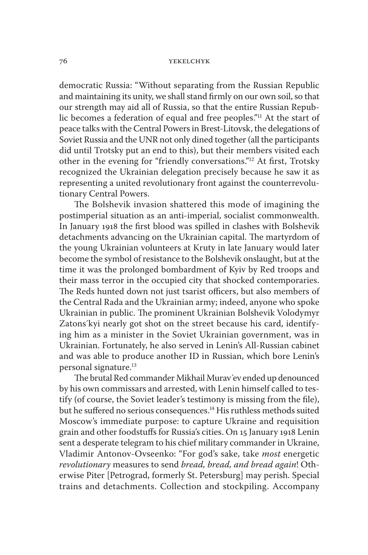democratic Russia: "Without separating from the Russian Republic and maintaining its unity, we shall stand firmly on our own soil, so that our strength may aid all of Russia, so that the entire Russian Republic becomes a federation of equal and free peoples."11 At the start of peace talks with the Central Powers in Brest-Litovsk, the delegations of Soviet Russia and the UNR not only dined together (all the participants did until Trotsky put an end to this), but their members visited each other in the evening for "friendly conversations."12 At first, Trotsky recognized the Ukrainian delegation precisely because he saw it as representing a united revolutionary front against the counterrevolutionary Central Powers.

The Bolshevik invasion shattered this mode of imagining the postimperial situation as an anti-imperial, socialist commonwealth. In January 1918 the first blood was spilled in clashes with Bolshevik detachments advancing on the Ukrainian capital. The martyrdom of the young Ukrainian volunteers at Kruty in late January would later become the symbol of resistance to the Bolshevik onslaught, but at the time it was the prolonged bombardment of Kyiv by Red troops and their mass terror in the occupied city that shocked contemporaries. The Reds hunted down not just tsarist officers, but also members of the Central Rada and the Ukrainian army; indeed, anyone who spoke Ukrainian in public. The prominent Ukrainian Bolshevik Volodymyr Zatons´kyi nearly got shot on the street because his card, identifying him as a minister in the Soviet Ukrainian government, was in Ukrainian. Fortunately, he also served in Lenin's All-Russian cabinet and was able to produce another ID in Russian, which bore Lenin's personal signature.<sup>13</sup>

The brutal Red commander Mikhail Murav´ev ended up denounced by his own commissars and arrested, with Lenin himself called to testify (of course, the Soviet leader's testimony is missing from the file), but he suffered no serious consequences.<sup>14</sup> His ruthless methods suited Moscow's immediate purpose: to capture Ukraine and requisition grain and other foodstuffs for Russia's cities. On 15 January 1918 Lenin sent a desperate telegram to his chief military commander in Ukraine, Vladimir Antonov-Ovseenko: "For god's sake, take *most* energetic *revolutionary* measures to send *bread, bread, and bread again*! Otherwise Piter [Petrograd, formerly St. Petersburg] may perish. Special trains and detachments. Collection and stockpiling. Accompany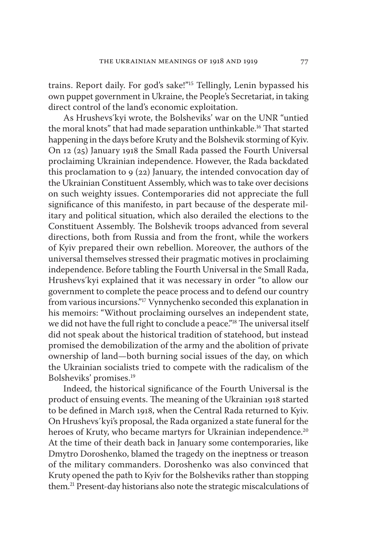trains. Report daily. For god's sake!"15 Tellingly, Lenin bypassed his own puppet government in Ukraine, the People's Secretariat, in taking direct control of the land's economic exploitation.

As Hrushevs´kyi wrote, the Bolsheviks' war on the UNR "untied the moral knots" that had made separation unthinkable.16 That started happening in the days before Kruty and the Bolshevik storming of Kyiv. On 12 (25) January 1918 the Small Rada passed the Fourth Universal proclaiming Ukrainian independence. However, the Rada backdated this proclamation to 9 (22) January, the intended convocation day of the Ukrainian Constituent Assembly, which was to take over decisions on such weighty issues. Contemporaries did not appreciate the full significance of this manifesto, in part because of the desperate military and political situation, which also derailed the elections to the Constituent Assembly. The Bolshevik troops advanced from several directions, both from Russia and from the front, while the workers of Kyiv prepared their own rebellion. Moreover, the authors of the universal themselves stressed their pragmatic motives in proclaiming independence. Before tabling the Fourth Universal in the Small Rada, Hrushevs´kyi explained that it was necessary in order "to allow our government to complete the peace process and to defend our country from various incursions."17 Vynnychenko seconded this explanation in his memoirs: "Without proclaiming ourselves an independent state, we did not have the full right to conclude a peace."<sup>18</sup> The universal itself did not speak about the historical tradition of statehood, but instead promised the demobilization of the army and the abolition of private ownership of land—both burning social issues of the day, on which the Ukrainian socialists tried to compete with the radicalism of the Bolsheviks' promises.19

Indeed, the historical significance of the Fourth Universal is the product of ensuing events. The meaning of the Ukrainian 1918 started to be defined in March 1918, when the Central Rada returned to Kyiv. On Hrushevs´kyi's proposal, the Rada organized a state funeral for the heroes of Kruty, who became martyrs for Ukrainian independence.<sup>20</sup> At the time of their death back in January some contemporaries, like Dmytro Doroshenko, blamed the tragedy on the ineptness or treason of the military commanders. Doroshenko was also convinced that Kruty opened the path to Kyiv for the Bolsheviks rather than stopping them.21 Present-day historians also note the strategic miscalculations of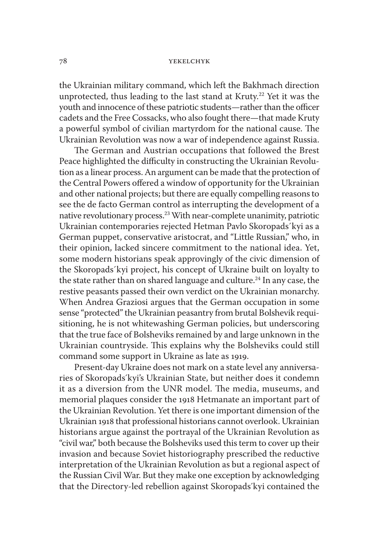the Ukrainian military command, which left the Bakhmach direction unprotected, thus leading to the last stand at Kruty.<sup>22</sup> Yet it was the youth and innocence of these patriotic students—rather than the officer cadets and the Free Cossacks, who also fought there—that made Kruty a powerful symbol of civilian martyrdom for the national cause. The Ukrainian Revolution was now a war of independence against Russia.

The German and Austrian occupations that followed the Brest Peace highlighted the difficulty in constructing the Ukrainian Revolution as a linear process. An argument can be made that the protection of the Central Powers offered a window of opportunity for the Ukrainian and other national projects; but there are equally compelling reasons to see the de facto German control as interrupting the development of a native revolutionary process.23 With near-complete unanimity, patriotic Ukrainian contemporaries rejected Hetman Pavlo Skoropads´kyi as a German puppet, conservative aristocrat, and "Little Russian," who, in their opinion, lacked sincere commitment to the national idea. Yet, some modern historians speak approvingly of the civic dimension of the Skoropads´kyi project, his concept of Ukraine built on loyalty to the state rather than on shared language and culture.<sup>24</sup> In any case, the restive peasants passed their own verdict on the Ukrainian monarchy. When Andrea Graziosi argues that the German occupation in some sense "protected" the Ukrainian peasantry from brutal Bolshevik requisitioning, he is not whitewashing German policies, but underscoring that the true face of Bolsheviks remained by and large unknown in the Ukrainian countryside. This explains why the Bolsheviks could still command some support in Ukraine as late as 1919.

Present-day Ukraine does not mark on a state level any anniversaries of Skoropads´kyi's Ukrainian State, but neither does it condemn it as a diversion from the UNR model. The media, museums, and memorial plaques consider the 1918 Hetmanate an important part of the Ukrainian Revolution. Yet there is one important dimension of the Ukrainian 1918 that professional historians cannot overlook. Ukrainian historians argue against the portrayal of the Ukrainian Revolution as "civil war," both because the Bolsheviks used this term to cover up their invasion and because Soviet historiography prescribed the reductive interpretation of the Ukrainian Revolution as but a regional aspect of the Russian Civil War. But they make one exception by acknowledging that the Directory-led rebellion against Skoropads´kyi contained the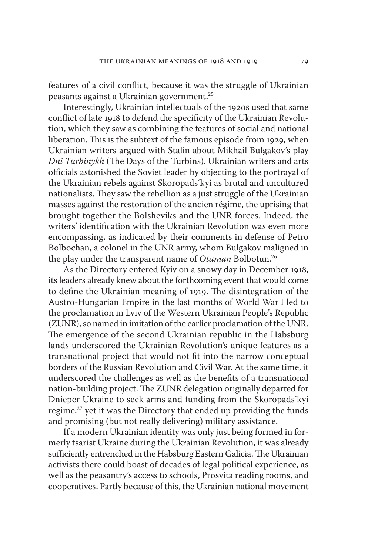features of a civil conflict, because it was the struggle of Ukrainian peasants against a Ukrainian government.25

Interestingly, Ukrainian intellectuals of the 1920s used that same conflict of late 1918 to defend the specificity of the Ukrainian Revolution, which they saw as combining the features of social and national liberation. This is the subtext of the famous episode from 1929, when Ukrainian writers argued with Stalin about Mikhail Bulgakov's play *Dni Turbinykh* (The Days of the Turbins). Ukrainian writers and arts officials astonished the Soviet leader by objecting to the portrayal of the Ukrainian rebels against Skoropads´kyi as brutal and uncultured nationalists. They saw the rebellion as a just struggle of the Ukrainian masses against the restoration of the ancien régime, the uprising that brought together the Bolsheviks and the UNR forces. Indeed, the writers' identification with the Ukrainian Revolution was even more encompassing, as indicated by their comments in defense of Petro Bolbochan, a colonel in the UNR army, whom Bulgakov maligned in the play under the transparent name of *Otaman* Bolbotun.26

As the Directory entered Kyiv on a snowy day in December 1918, its leaders already knew about the forthcoming event that would come to define the Ukrainian meaning of 1919. The disintegration of the Austro-Hungarian Empire in the last months of World War I led to the proclamation in Lviv of the Western Ukrainian People's Republic (ZUNR), so named in imitation of the earlier proclamation of the UNR. The emergence of the second Ukrainian republic in the Habsburg lands underscored the Ukrainian Revolution's unique features as a transnational project that would not fit into the narrow conceptual borders of the Russian Revolution and Civil War. At the same time, it underscored the challenges as well as the benefits of a transnational nation-building project. The ZUNR delegation originally departed for Dnieper Ukraine to seek arms and funding from the Skoropads´kyi regime, $27$  yet it was the Directory that ended up providing the funds and promising (but not really delivering) military assistance.

If a modern Ukrainian identity was only just being formed in formerly tsarist Ukraine during the Ukrainian Revolution, it was already sufficiently entrenched in the Habsburg Eastern Galicia. The Ukrainian activists there could boast of decades of legal political experience, as well as the peasantry's access to schools, Prosvita reading rooms, and cooperatives. Partly because of this, the Ukrainian national movement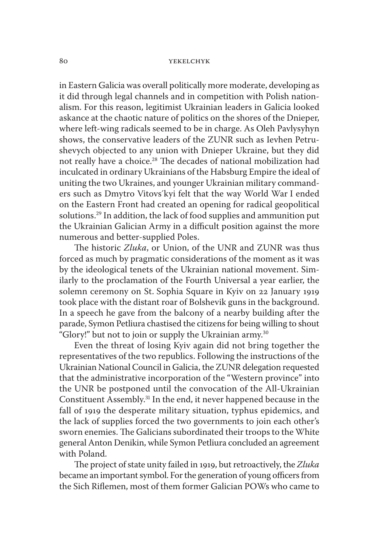in Eastern Galicia was overall politically more moderate, developing as it did through legal channels and in competition with Polish nationalism. For this reason, legitimist Ukrainian leaders in Galicia looked askance at the chaotic nature of politics on the shores of the Dnieper, where left-wing radicals seemed to be in charge. As Oleh Pavlysyhyn shows, the conservative leaders of the ZUNR such as Ievhen Petrushevych objected to any union with Dnieper Ukraine, but they did not really have a choice.28 The decades of national mobilization had inculcated in ordinary Ukrainians of the Habsburg Empire the ideal of uniting the two Ukraines, and younger Ukrainian military commanders such as Dmytro Vitovs´kyi felt that the way World War I ended on the Eastern Front had created an opening for radical geopolitical solutions.29 In addition, the lack of food supplies and ammunition put the Ukrainian Galician Army in a difficult position against the more numerous and better-supplied Poles.

The historic *Zluka*, or Union, of the UNR and ZUNR was thus forced as much by pragmatic considerations of the moment as it was by the ideological tenets of the Ukrainian national movement. Similarly to the proclamation of the Fourth Universal a year earlier, the solemn ceremony on St. Sophia Square in Kyiv on 22 January 1919 took place with the distant roar of Bolshevik guns in the background. In a speech he gave from the balcony of a nearby building after the parade, Symon Petliura chastised the citizens for being willing to shout "Glory!" but not to join or supply the Ukrainian army.30

Even the threat of losing Kyiv again did not bring together the representatives of the two republics. Following the instructions of the Ukrainian National Council in Galicia, the ZUNR delegation requested that the administrative incorporation of the "Western province" into the UNR be postponed until the convocation of the All-Ukrainian Constituent Assembly.31 In the end, it never happened because in the fall of 1919 the desperate military situation, typhus epidemics, and the lack of supplies forced the two governments to join each other's sworn enemies. The Galicians subordinated their troops to the White general Anton Denikin, while Symon Petliura concluded an agreement with Poland.

The project of state unity failed in 1919, but retroactively, the *Zluka* became an important symbol. For the generation of young officers from the Sich Riflemen, most of them former Galician POWs who came to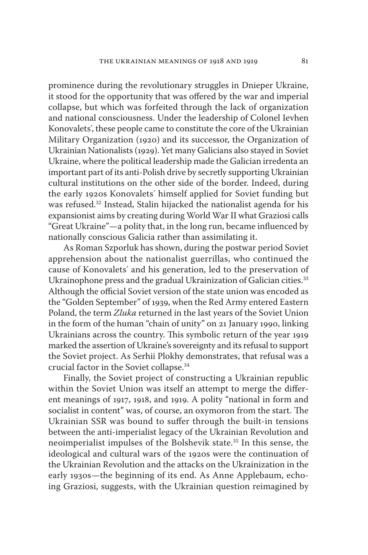prominence during the revolutionary struggles in Dnieper Ukraine, it stood for the opportunity that was offered by the war and imperial collapse, but which was forfeited through the lack of organization and national consciousness. Under the leadership of Colonel Ievhen Konovalets´, these people came to constitute the core of the Ukrainian Military Organization (1920) and its successor, the Organization of Ukrainian Nationalists (1929). Yet many Galicians also stayed in Soviet Ukraine, where the political leadership made the Galician irredenta an important part of its anti-Polish drive by secretly supporting Ukrainian cultural institutions on the other side of the border. Indeed, during the early 1920s Konovalets´ himself applied for Soviet funding but was refused.32 Instead, Stalin hijacked the nationalist agenda for his expansionist aims by creating during World War II what Graziosi calls "Great Ukraine"—a polity that, in the long run, became influenced by nationally conscious Galicia rather than assimilating it.

As Roman Szporluk has shown, during the postwar period Soviet apprehension about the nationalist guerrillas, who continued the cause of Konovalets´ and his generation, led to the preservation of Ukrainophone press and the gradual Ukrainization of Galician cities.<sup>33</sup> Although the official Soviet version of the state union was encoded as the "Golden September" of 1939, when the Red Army entered Eastern Poland, the term *Zluka* returned in the last years of the Soviet Union in the form of the human "chain of unity" on 21 January 1990, linking Ukrainians across the country. This symbolic return of the year 1919 marked the assertion of Ukraine's sovereignty and its refusal to support the Soviet project. As Serhii Plokhy demonstrates, that refusal was a crucial factor in the Soviet collapse.34

Finally, the Soviet project of constructing a Ukrainian republic within the Soviet Union was itself an attempt to merge the different meanings of 1917, 1918, and 1919. A polity "national in form and socialist in content" was, of course, an oxymoron from the start. The Ukrainian SSR was bound to suffer through the built-in tensions between the anti-imperialist legacy of the Ukrainian Revolution and neoimperialist impulses of the Bolshevik state.35 In this sense, the ideological and cultural wars of the 1920s were the continuation of the Ukrainian Revolution and the attacks on the Ukrainization in the early 1930s—the beginning of its end. As Anne Applebaum, echoing Graziosi, suggests, with the Ukrainian question reimagined by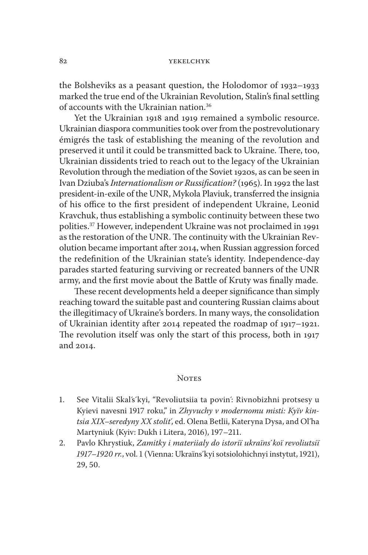the Bolsheviks as a peasant question, the Holodomor of 1932–1933 marked the true end of the Ukrainian Revolution, Stalin's final settling of accounts with the Ukrainian nation.36

Yet the Ukrainian 1918 and 1919 remained a symbolic resource. Ukrainian diaspora communities took over from the postrevolutionary émigrés the task of establishing the meaning of the revolution and preserved it until it could be transmitted back to Ukraine. There, too, Ukrainian dissidents tried to reach out to the legacy of the Ukrainian Revolution through the mediation of the Soviet 1920s, as can be seen in Ivan Dziuba's *Internationalism or Russification?* (1965). In 1992 the last president-in-exile of the UNR, Mykola Plaviuk, transferred the insignia of his office to the first president of independent Ukraine, Leonid Kravchuk, thus establishing a symbolic continuity between these two polities.37 However, independent Ukraine was not proclaimed in 1991 as the restoration of the UNR. The continuity with the Ukrainian Revolution became important after 2014, when Russian aggression forced the redefinition of the Ukrainian state's identity. Independence-day parades started featuring surviving or recreated banners of the UNR army, and the first movie about the Battle of Kruty was finally made.

These recent developments held a deeper significance than simply reaching toward the suitable past and countering Russian claims about the illegitimacy of Ukraine's borders. In many ways, the consolidation of Ukrainian identity after 2014 repeated the roadmap of 1917–1921. The revolution itself was only the start of this process, both in 1917 and 2014.

# **NOTES**

- 1. See Vitalii Skal´s´kyi, "Revoliutsiia ta povin´: Rivnobizhni protsesy u Kyievi navesni 1917 roku," in *Zhyvuchy v modernomu misti: Kyïv kintsia XIX–seredyny XX stolit*´, ed. Olena Betlii, Kateryna Dysa, and Ol´ha Martyniuk (Kyiv: Dukh i Litera, 2016), 197–211.
- 2. Pavlo Khrystiuk, *Zamitky i materiialy do istoriï ukraïns*´*koï revoliutsiï 1917–1920 rr.*, vol. 1 (Vienna: Ukraïns´kyi sotsiolohichnyi instytut, 1921), 29, 50.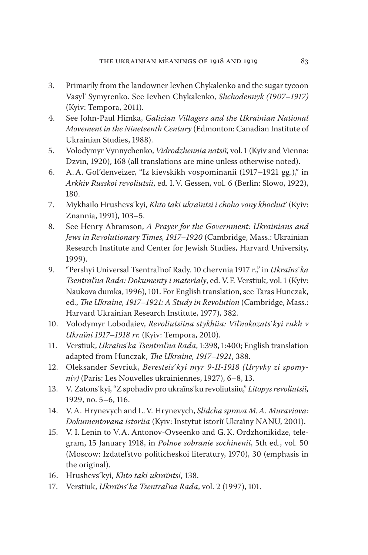- 3. Primarily from the landowner Ievhen Chykalenko and the sugar tycoon Vasyl´ Symyrenko. See Ievhen Chykalenko, *Shchodennyk (1907–1917)* (Kyiv: Tempora, 2011).
- 4. See John-Paul Himka, *Galician Villagers and the Ukrainian National Movement in the Nineteenth Century* (Edmonton: Canadian Institute of Ukrainian Studies, 1988).
- 5. Volodymyr Vynnychenko, *Vidrodzhennia natsiï,* vol. 1 (Kyiv and Vienna: Dzvin, 1920), 168 (all translations are mine unless otherwise noted).
- 6. A. A. Gol´denveizer, "Iz kievskikh vospominanii (1917–1921 gg.)," in *Arkhiv Russkoi revoliutsii*, ed. I. V. Gessen, vol. 6 (Berlin: Slowo, 1922), 180.
- 7. Mykhailo Hrushevs´kyi, *Khto taki ukraïntsi i choho vony khochut*´ (Kyiv: Znannia, 1991), 103–5.
- 8. See Henry Abramson, *A Prayer for the Government: Ukrainians and Jews in Revolutionary Times, 1917–1920* (Cambridge, Mass.: Ukrainian Research Institute and Center for Jewish Studies, Harvard University, 1999).
- 9. "Pershyi Universal Tsentral´noï Rady. 10 chervnia 1917 r.," in *Ukraïns*´*ka Tsentral*´*na Rada: Dokumenty i materialy*, ed. V.F. Verstiuk, vol. 1 (Kyiv: Naukova dumka, 1996), 101. For English translation, see Taras Hunczak, ed., *The Ukraine, 1917–1921: A Study in Revolution* (Cambridge, Mass.: Harvard Ukrainian Research Institute, 1977), 382.
- 10. Volodymyr Lobodaiev, *Revoliutsiina stykhiia: Vil*´*nokozats*´*kyi rukh v Ukraïni 1917–1918 rr.* (Kyiv: Tempora, 2010).
- 11. Verstiuk, *Ukraïn*s´*ka Tsentral*´*na Rada*, 1:398, 1:400; English translation adapted from Hunczak, *The Ukraine, 1917–1921*, 388.
- 12. Oleksander Sevriuk, *Beresteis*´*kyi myr 9-II-1918 (Uryvky zi spomyniv)* (Paris: Les Nouvelles ukrainiennes, 1927), 6–8, 13.
- 13. V. Zatons´kyi, "Z spohadiv pro ukraïns´ku revoliutsiiu," *Litopys revoliutsiï*, 1929, no. 5–6, 116.
- 14. V. A. Hrynevych and L. V. Hrynevych, *Slidcha sprava M.A. Muraviova: Dokumentovana istoriia* (Kyiv: Instytut istoriï Ukraïny NANU, 2001).
- 15. V. I. Lenin to V. A. Antonov-Ovseenko and G. K. Ordzhonikidze, telegram, 15 January 1918, in *Polnoe sobranie sochinenii*, 5th ed., vol. 50 (Moscow: Izdatel´stvo politicheskoi literatury, 1970), 30 (emphasis in the original).
- 16. Hrushevs´kyi, *Khto taki ukraïntsi*, 138.
- 17. Verstiuk, *Ukraïns*´*ka Tsentral*´*na Rada*, vol. 2 (1997), 101.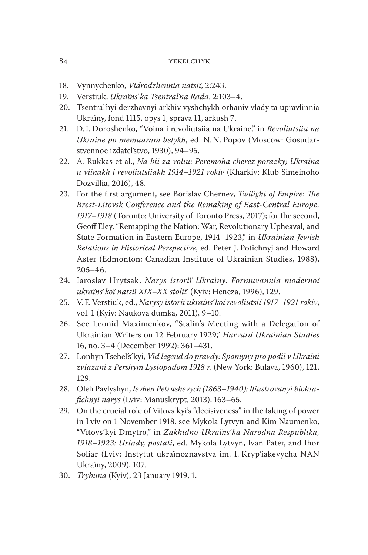- 18. Vynnychenko, *Vidrodzhennia natsiï*, 2:243.
- 19. Verstiuk, *Ukraïns*´*ka Tsentral*´*na Rada*, 2:103–4.
- 20. Tsentral´nyi derzhavnyi arkhiv vyshchykh orhaniv vlady ta upravlinnia Ukraïny, fond 1115, opys 1, sprava 11, arkush 7.
- 21. D. I. Doroshenko, "Voina i revoliutsiia na Ukraine," in *Revoliutsiia na Ukraine po memuaram belykh*, ed. N. N. Popov (Moscow: Gosudarstvennoe izdatel´stvo, 1930), 94–95.
- 22. A. Rukkas et al., *Na bii za voliu: Peremoha cherez porazky; Ukraïna u viinakh i revoliutsiiakh 1914–1921 rokiv* (Kharkiv: Klub Simeinoho Dozvillia, 2016), 48.
- 23. For the first argument, see Borislav Chernev, *Twilight of Empire: The Brest-Litovsk Conference and the Remaking of East-Central Europe, 1917–1918* (Toronto: University of Toronto Press, 2017); for the second, Geoff Eley, "Remapping the Nation: War, Revolutionary Upheaval, and State Formation in Eastern Europe, 1914–1923," in *Ukrainian-Jewish Relations in Historical Perspective*, ed. Peter J. Potichnyj and Howard Aster (Edmonton: Canadian Institute of Ukrainian Studies, 1988), 205–46.
- 24. Iaroslav Hrytsak, *Narys istoriï Ukraïny: Formuvannia modernoï ukraïns*´*koï natsiï XIX–XX stolit*´ (Kyiv: Heneza, 1996), 129.
- 25. V.F. Verstiuk, ed., *Narysy istoriï ukraïns*´*koï revoliutsiï 1917–1921 rokiv*, vol. 1 (Kyiv: Naukova dumka, 2011), 9–10.
- 26. See Leonid Maximenkov, "Stalin's Meeting with a Delegation of Ukrainian Writers on 12 February 1929," *Harvard Ukrainian Studies* 16, no. 3–4 (December 1992): 361–431.
- 27. Lonhyn Tsehel´s´kyi, *Vid legend do pravdy: Spomyny pro podiï v Ukraïni zviazani z Pershym Lystopadom 1918 r.* (New York: Bulava, 1960), 121, 129.
- 28. Oleh Pavlyshyn, *Ievhen Petrushevych (1863–1940): Iliustrovanyi biohrafichnyi narys* (Lviv: Manuskrypt, 2013), 163–65.
- 29. On the crucial role of Vitovs´kyi's "decisiveness" in the taking of power in Lviv on 1 November 1918, see Mykola Lytvyn and Kim Naumenko, "Vitovs´kyi Dmytro," in *Zakhidno-Ukraïns*´*ka Narodna Respublika, 1918–1923: Uriady, postati*, ed. Mykola Lytvyn, Ivan Pater, and Ihor Soliar (Lviv: Instytut ukraïnoznavstva im. I. Kryp'iakevycha NAN Ukraïny, 2009), 107.
- 30. *Trybuna* (Kyiv), 23 January 1919, 1.